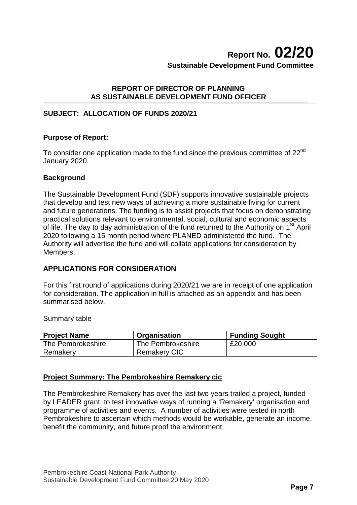# **REPORT OF DIRECTOR OF PLANNING AS SUSTAINABLE DEVELOPMENT FUND OFFICER**

# **SUBJECT: ALLOCATION OF FUNDS 2020/21**

## **Purpose of Report:**

To consider one application made to the fund since the previous committee of 22<sup>nd</sup> January 2020.

### **Background**

The Sustainable Development Fund (SDF) supports innovative sustainable projects that develop and test new ways of achieving a more sustainable living for current and future generations. The funding is to assist projects that focus on demonstrating practical solutions relevant to environmental, social, cultural and economic aspects of life. The day to day administration of the fund returned to the Authority on  $1<sup>St</sup>$  April 2020 following a 15 month period where PLANED administered the fund. The Authority will advertise the fund and will collate applications for consideration by Members.

## **APPLICATIONS FOR CONSIDERATION**

For this first round of applications during 2020/21 we are in receipt of one application for consideration. The application in full is attached as an appendix and has been summarised below.

Summary table

| <b>Project Name</b> | Organisation        | <b>Funding Sought</b> |
|---------------------|---------------------|-----------------------|
| The Pembrokeshire   | The Pembrokeshire   | £20,000               |
| Remakery            | <b>Remakery CIC</b> |                       |

## **Project Summary: The Pembrokeshire Remakery cic**

The Pembrokeshire Remakery has over the last two years trailed a project, funded by LEADER grant, to test innovative ways of running a 'Remakery' organisation and programme of activities and events. A number of activities were tested in north Pembrokeshire to ascertain which methods would be workable, generate an income, benefit the community, and future proof the environment.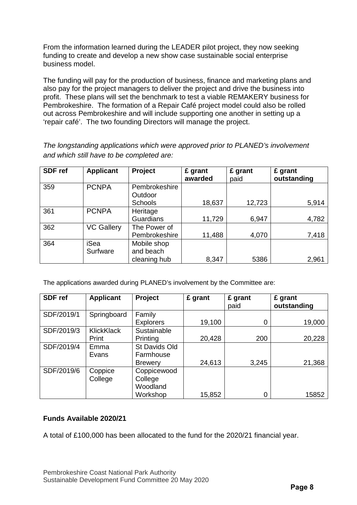From the information learned during the LEADER pilot project, they now seeking funding to create and develop a new show case sustainable social enterprise business model.

The funding will pay for the production of business, finance and marketing plans and also pay for the project managers to deliver the project and drive the business into profit. These plans will set the benchmark to test a viable REMAKERY business for Pembrokeshire. The formation of a Repair Café project model could also be rolled out across Pembrokeshire and will include supporting one another in setting up a 'repair café'. The two founding Directors will manage the project.

**SDF ref Applicant Project £ grant awarded £ grant**  paid **£ grant outstanding**  359 PCNPA Pembrokeshire **Outdoor** Schools 18,637 | 12,723 | 5,914 361 PCNPA Heritage Guardians | 11,729 6.947 4.782 362 VC Gallery The Power of Pembrokeshire 11,488 4.070 364 iSea **Surfware** Mobile shop and beach cleaning hub  $\vert$  8,347 | 5386 | 2,961

*The longstanding applications which were approved prior to PLANED's involvement and which still have to be completed are:*

The applications awarded during PLANED's involvement by the Committee are:

| SDF ref    | <b>Applicant</b>  | Project          | £ grant | £ grant<br>paid | £ grant<br>outstanding |
|------------|-------------------|------------------|---------|-----------------|------------------------|
| SDF/2019/1 | Springboard       | Family           |         |                 |                        |
|            |                   | <b>Explorers</b> | 19,100  | 0               | 19,000                 |
| SDF/2019/3 | <b>KlickKlack</b> | Sustainable      |         |                 |                        |
|            | Print             | Printing         | 20,428  | 200             | 20,228                 |
| SDF/2019/4 | Emma              | St Davids Old    |         |                 |                        |
|            | Evans             | Farmhouse        |         |                 |                        |
|            |                   | <b>Brewery</b>   | 24,613  | 3,245           | 21,368                 |
| SDF/2019/6 | Coppice           | Coppicewood      |         |                 |                        |
|            | College           | College          |         |                 |                        |
|            |                   | Woodland         |         |                 |                        |
|            |                   | Workshop         | 15,852  | 0               | 15852                  |

# **Funds Available 2020/21**

A total of £100,000 has been allocated to the fund for the 2020/21 financial year.